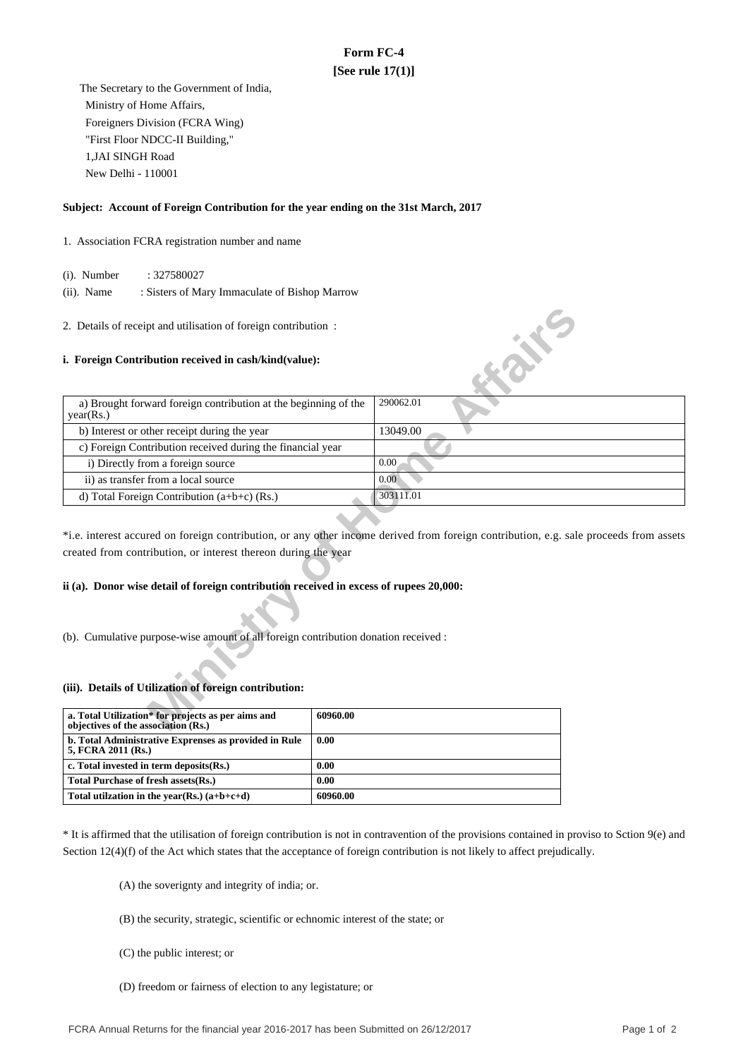# **Form FC-4 [See rule 17(1)]**

 The Secretary to the Government of India, Ministry of Home Affairs, Foreigners Division (FCRA Wing) "First Floor NDCC-II Building," 1,JAI SINGH Road New Delhi - 110001

### **Subject: Account of Foreign Contribution for the year ending on the 31st March, 2017**

### 1. Association FCRA registration number and name

(i). Number : 327580027

 (ii). Name : Sisters of Mary Immaculate of Bishop Marrow

#### **i. Foreign Contribution received in cash/kind(value):**

| 2. Details of receipt and utilisation of foreign contribution:                            |                                                                                                                                       |
|-------------------------------------------------------------------------------------------|---------------------------------------------------------------------------------------------------------------------------------------|
| i. Foreign Contribution received in cash/kind(value):                                     | <b>SILLER</b>                                                                                                                         |
| a) Brought forward foreign contribution at the beginning of the<br>year(Rs.)              | 290062.01                                                                                                                             |
| b) Interest or other receipt during the year                                              | 13049.00                                                                                                                              |
| c) Foreign Contribution received during the financial year                                |                                                                                                                                       |
| i) Directly from a foreign source                                                         | 0.00                                                                                                                                  |
| ii) as transfer from a local source                                                       | 0.00                                                                                                                                  |
| d) Total Foreign Contribution $(a+b+c)$ (Rs.)                                             | 303111.01                                                                                                                             |
| created from contribution, or interest thereon during the year                            | *i.e. interest accured on foreign contribution, or any other income derived from foreign contribution, e.g. sale proceeds from assets |
| ii (a). Donor wise detail of foreign contribution received in excess of rupees 20,000:    |                                                                                                                                       |
| (b). Cumulative purpose-wise amount of all foreign contribution donation received :       |                                                                                                                                       |
| (iii). Details of Utilization of foreign contribution:                                    |                                                                                                                                       |
| a. Total Utilization* for projects as per aims and<br>objectives of the association (Rs.) | 60960.00                                                                                                                              |

## **ii (a). Donor wise detail of foreign contribution received in excess of rupees 20,000:**

#### **(iii). Details of Utilization of foreign contribution:**

| a. Total Utilization* for projects as per aims and<br>objectives of the association (Rs.) | 60960.00 |
|-------------------------------------------------------------------------------------------|----------|
| b. Total Administrative Exprenses as provided in Rule<br>5, FCRA 2011 (Rs.)               | 0.00     |
| c. Total invested in term deposits(Rs.)                                                   | 0.00     |
| Total Purchase of fresh assets (Rs.)                                                      | 0.00     |
| Total utilization in the year(Rs.) $(a+b+c+d)$                                            | 60960.00 |

\* It is affirmed that the utilisation of foreign contribution is not in contravention of the provisions contained in proviso to Sction 9(e) and Section 12(4)(f) of the Act which states that the acceptance of foreign contribution is not likely to affect prejudically.

(A) the soverignty and integrity of india; or.

- (B) the security, strategic, scientific or echnomic interest of the state; or
- (C) the public interest; or
- (D) freedom or fairness of election to any legistature; or